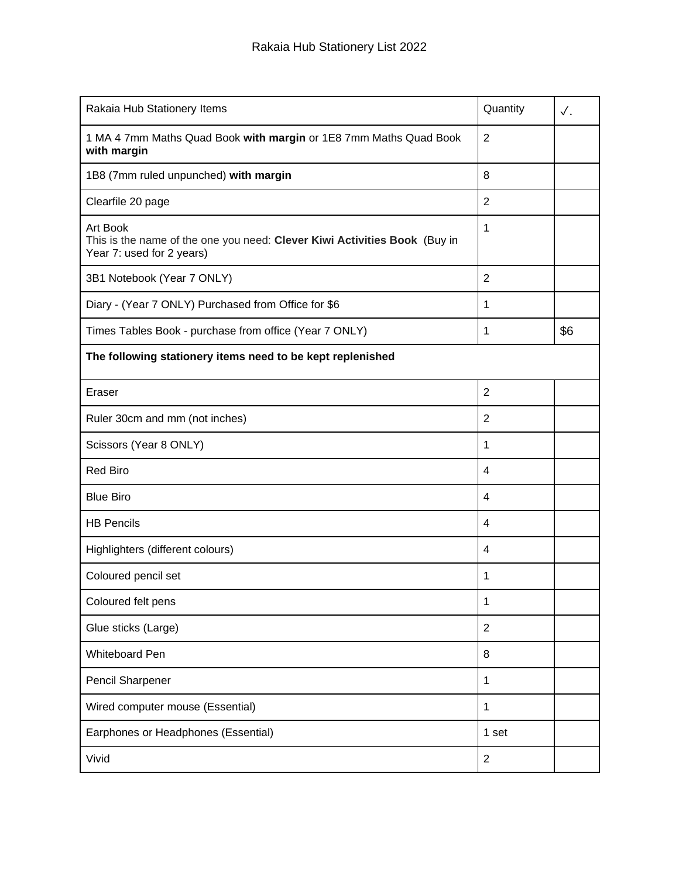| Rakaia Hub Stationery Items                                                                                        | Quantity       | $\checkmark$ . |  |  |
|--------------------------------------------------------------------------------------------------------------------|----------------|----------------|--|--|
| 1 MA 4 7mm Maths Quad Book with margin or 1E8 7mm Maths Quad Book<br>with margin                                   | $\overline{2}$ |                |  |  |
| 1B8 (7mm ruled unpunched) with margin                                                                              | 8              |                |  |  |
| Clearfile 20 page                                                                                                  | $\overline{2}$ |                |  |  |
| Art Book<br>This is the name of the one you need: Clever Kiwi Activities Book (Buy in<br>Year 7: used for 2 years) | 1              |                |  |  |
| 3B1 Notebook (Year 7 ONLY)                                                                                         | $\overline{2}$ |                |  |  |
| Diary - (Year 7 ONLY) Purchased from Office for \$6                                                                | 1              |                |  |  |
| Times Tables Book - purchase from office (Year 7 ONLY)                                                             | 1              | \$6            |  |  |
| The following stationery items need to be kept replenished                                                         |                |                |  |  |
| Eraser                                                                                                             | $\overline{2}$ |                |  |  |
| Ruler 30cm and mm (not inches)                                                                                     | $\overline{2}$ |                |  |  |
| Scissors (Year 8 ONLY)                                                                                             | 1              |                |  |  |
| <b>Red Biro</b>                                                                                                    | 4              |                |  |  |
| <b>Blue Biro</b>                                                                                                   | 4              |                |  |  |
| <b>HB Pencils</b>                                                                                                  | 4              |                |  |  |
| Highlighters (different colours)                                                                                   | 4              |                |  |  |
| Coloured pencil set                                                                                                | 1              |                |  |  |
| Coloured felt pens                                                                                                 | 1              |                |  |  |
| Glue sticks (Large)                                                                                                | $\overline{2}$ |                |  |  |
| Whiteboard Pen                                                                                                     | 8              |                |  |  |
| Pencil Sharpener                                                                                                   | 1              |                |  |  |
| Wired computer mouse (Essential)                                                                                   | 1              |                |  |  |
| Earphones or Headphones (Essential)                                                                                | 1 set          |                |  |  |
| Vivid                                                                                                              | $\overline{2}$ |                |  |  |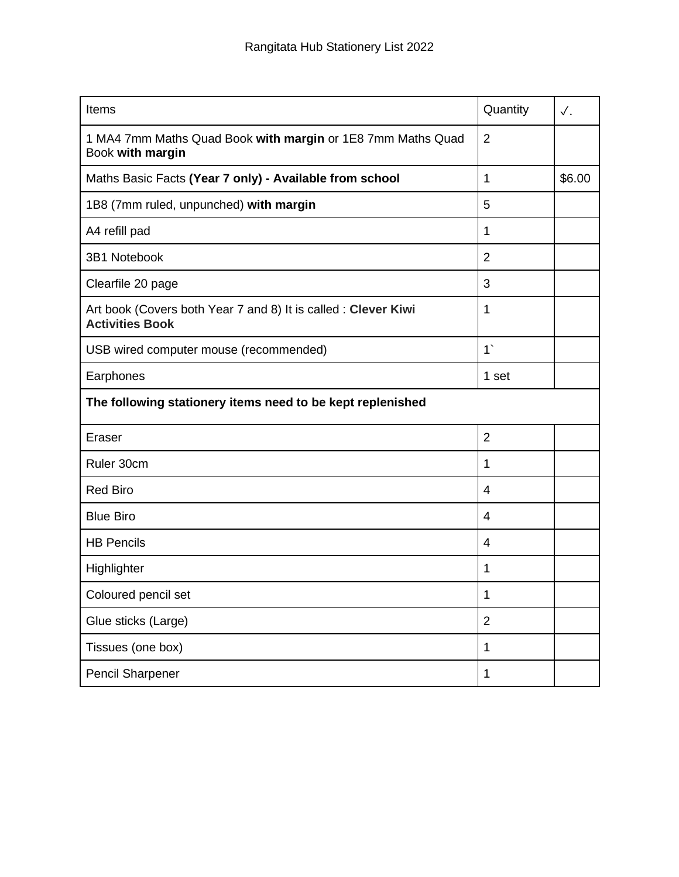| Items                                                                                    | Quantity       | $\checkmark$ . |  |  |
|------------------------------------------------------------------------------------------|----------------|----------------|--|--|
| 1 MA4 7mm Maths Quad Book with margin or 1E8 7mm Maths Quad<br>Book with margin          | $\overline{2}$ |                |  |  |
| Maths Basic Facts (Year 7 only) - Available from school                                  | 1              | \$6.00         |  |  |
| 1B8 (7mm ruled, unpunched) with margin                                                   | 5              |                |  |  |
| A4 refill pad                                                                            | 1              |                |  |  |
| 3B1 Notebook                                                                             | $\overline{2}$ |                |  |  |
| Clearfile 20 page                                                                        | 3              |                |  |  |
| Art book (Covers both Year 7 and 8) It is called : Clever Kiwi<br><b>Activities Book</b> | 1              |                |  |  |
| USB wired computer mouse (recommended)                                                   | 1              |                |  |  |
| Earphones                                                                                | 1 set          |                |  |  |
| The following stationery items need to be kept replenished                               |                |                |  |  |
| Eraser                                                                                   | $\overline{2}$ |                |  |  |
| Ruler 30cm                                                                               | 1              |                |  |  |
| <b>Red Biro</b>                                                                          | 4              |                |  |  |
| <b>Blue Biro</b>                                                                         | 4              |                |  |  |
| <b>HB Pencils</b>                                                                        | 4              |                |  |  |
| Highlighter                                                                              | 1              |                |  |  |
| Coloured pencil set                                                                      | 1              |                |  |  |
| Glue sticks (Large)                                                                      | $\overline{2}$ |                |  |  |
| Tissues (one box)                                                                        | 1              |                |  |  |
| <b>Pencil Sharpener</b>                                                                  | $\mathbf{1}$   |                |  |  |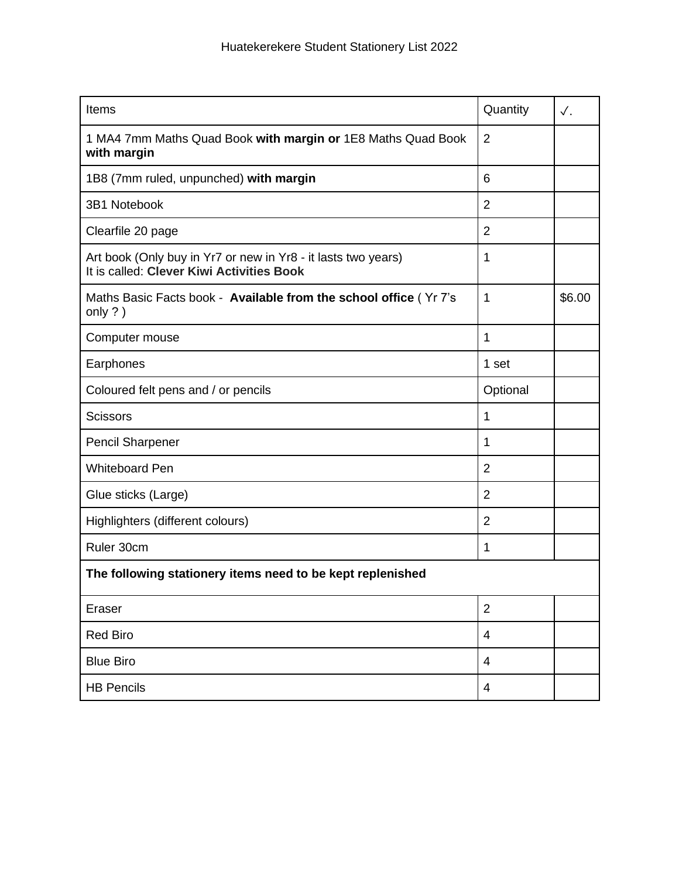| Items                                                                                                      | Quantity       | ✓.     |  |  |
|------------------------------------------------------------------------------------------------------------|----------------|--------|--|--|
| 1 MA4 7mm Maths Quad Book with margin or 1E8 Maths Quad Book<br>with margin                                | 2              |        |  |  |
| 1B8 (7mm ruled, unpunched) with margin                                                                     | 6              |        |  |  |
| 3B1 Notebook                                                                                               | $\overline{2}$ |        |  |  |
| Clearfile 20 page                                                                                          | $\overline{2}$ |        |  |  |
| Art book (Only buy in Yr7 or new in Yr8 - it lasts two years)<br>It is called: Clever Kiwi Activities Book | 1              |        |  |  |
| Maths Basic Facts book - Available from the school office (Yr 7's<br>only $?$ )                            | 1              | \$6.00 |  |  |
| Computer mouse                                                                                             | 1              |        |  |  |
| Earphones                                                                                                  | 1 set          |        |  |  |
| Coloured felt pens and / or pencils                                                                        | Optional       |        |  |  |
| <b>Scissors</b>                                                                                            | 1              |        |  |  |
| <b>Pencil Sharpener</b>                                                                                    | 1              |        |  |  |
| <b>Whiteboard Pen</b>                                                                                      | $\overline{2}$ |        |  |  |
| Glue sticks (Large)                                                                                        | $\overline{2}$ |        |  |  |
| Highlighters (different colours)                                                                           | $\overline{2}$ |        |  |  |
| Ruler 30cm                                                                                                 | 1              |        |  |  |
| The following stationery items need to be kept replenished                                                 |                |        |  |  |
| Eraser                                                                                                     | $\overline{2}$ |        |  |  |
| <b>Red Biro</b>                                                                                            | 4              |        |  |  |
| <b>Blue Biro</b>                                                                                           | 4              |        |  |  |
| <b>HB Pencils</b>                                                                                          | 4              |        |  |  |